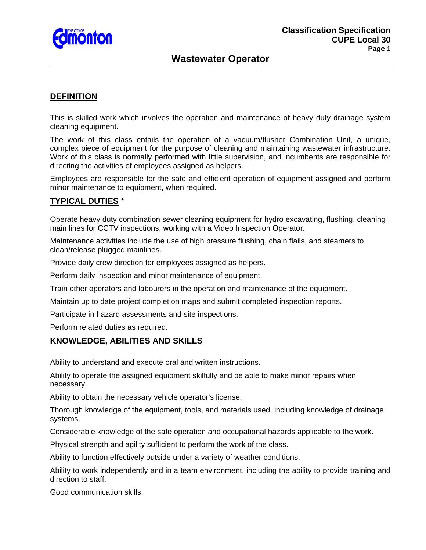

# **Wastewater Operator**

### **DEFINITION**

This is skilled work which involves the operation and maintenance of heavy duty drainage system cleaning equipment.

The work of this class entails the operation of a vacuum/flusher Combination Unit, a unique, complex piece of equipment for the purpose of cleaning and maintaining wastewater infrastructure. Work of this class is normally performed with little supervision, and incumbents are responsible for directing the activities of employees assigned as helpers.

Employees are responsible for the safe and efficient operation of equipment assigned and perform minor maintenance to equipment, when required.

#### **TYPICAL DUTIES** \*

Operate heavy duty combination sewer cleaning equipment for hydro excavating, flushing, cleaning main lines for CCTV inspections, working with a Video Inspection Operator.

Maintenance activities include the use of high pressure flushing, chain flails, and steamers to clean/release plugged mainlines.

Provide daily crew direction for employees assigned as helpers.

Perform daily inspection and minor maintenance of equipment.

Train other operators and labourers in the operation and maintenance of the equipment.

Maintain up to date project completion maps and submit completed inspection reports.

Participate in hazard assessments and site inspections.

Perform related duties as required.

### **KNOWLEDGE, ABILITIES AND SKILLS**

Ability to understand and execute oral and written instructions.

Ability to operate the assigned equipment skilfully and be able to make minor repairs when necessary.

Ability to obtain the necessary vehicle operator's license.

Thorough knowledge of the equipment, tools, and materials used, including knowledge of drainage systems.

Considerable knowledge of the safe operation and occupational hazards applicable to the work.

Physical strength and agility sufficient to perform the work of the class.

Ability to function effectively outside under a variety of weather conditions.

Ability to work independently and in a team environment, including the ability to provide training and direction to staff.

Good communication skills.